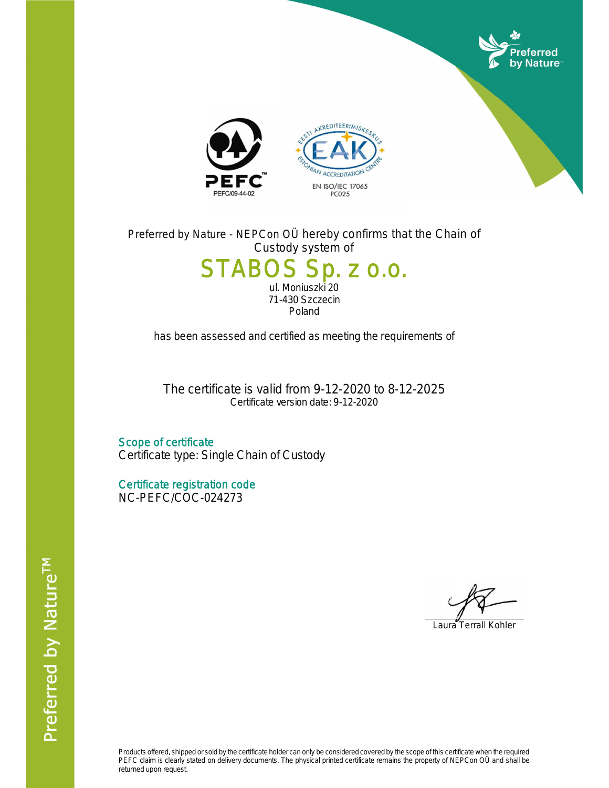

Preferred by Nature - NEPCon OÜ hereby confirms that the Chain of Custody system of

## STABOS Sp. z o.o. ul. Moniuszki 20 71-430 Szczecin

Poland

has been assessed and certified as meeting the requirements of

The certificate is valid from 9-12-2020 to 8-12-2025 Certificate version date: 9-12-2020

Scope of certificate Certificate type: Single Chain of Custody

Certificate registration code NC-PEFC/COC-024273

Laura Terrall Kohler

Products offered, shipped or sold by the certificate holder can only be considered covered by the scope of this certificate when the required PEFC claim is clearly stated on delivery documents. The physical printed certificate remains the property of NEPCon OÜ and shall be returned upon request.